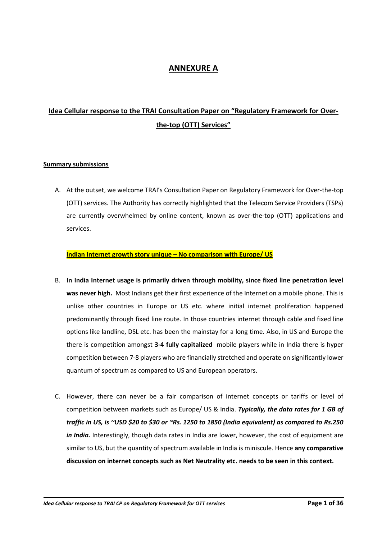## **ANNEXURE A**

# **Idea Cellular response to the TRAI Consultation Paper on "Regulatory Framework for Overthe-top (OTT) Services"**

### **Summary submissions**

A. At the outset, we welcome TRAI's Consultation Paper on Regulatory Framework for Over-the-top (OTT) services. The Authority has correctly highlighted that the Telecom Service Providers (TSPs) are currently overwhelmed by online content, known as over-the-top (OTT) applications and services.

### **Indian Internet growth story unique – No comparison with Europe/ US**

- B. **In India Internet usage is primarily driven through mobility, since fixed line penetration level was never high.** Most Indians get their first experience of the Internet on a mobile phone. This is unlike other countries in Europe or US etc. where initial internet proliferation happened predominantly through fixed line route. In those countries internet through cable and fixed line options like landline, DSL etc. has been the mainstay for a long time. Also, in US and Europe the there is competition amongst **3-4 fully capitalized** mobile players while in India there is hyper competition between 7-8 players who are financially stretched and operate on significantly lower quantum of spectrum as compared to US and European operators.
- C. However, there can never be a fair comparison of internet concepts or tariffs or level of competition between markets such as Europe/ US & India. *Typically, the data rates for 1 GB of traffic in US, is ~USD \$20 to \$30 or ~Rs. 1250 to 1850 (India equivalent) as compared to Rs.250 in India.* Interestingly, though data rates in India are lower, however, the cost of equipment are similar to US, but the quantity of spectrum available in India is miniscule. Hence **any comparative discussion on internet concepts such as Net Neutrality etc. needs to be seen in this context.**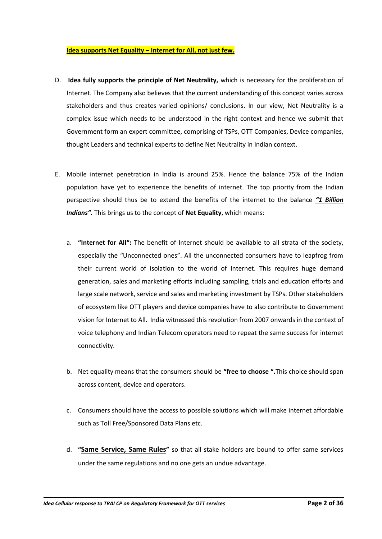#### **Idea supports Net Equality – Internet for All, not just few.**

- D. **Idea fully supports the principle of Net Neutrality,** which is necessary for the proliferation of Internet. The Company also believes that the current understanding of this concept varies across stakeholders and thus creates varied opinions/ conclusions. In our view, Net Neutrality is a complex issue which needs to be understood in the right context and hence we submit that Government form an expert committee, comprising of TSPs, OTT Companies, Device companies, thought Leaders and technical experts to define Net Neutrality in Indian context.
- E. Mobile internet penetration in India is around 25%. Hence the balance 75% of the Indian population have yet to experience the benefits of internet. The top priority from the Indian perspective should thus be to extend the benefits of the internet to the balance *"1 Billion Indians".* This brings us to the concept of **Net Equality**, which means:
	- a. **"Internet for All":** The benefit of Internet should be available to all strata of the society, especially the "Unconnected ones". All the unconnected consumers have to leapfrog from their current world of isolation to the world of Internet. This requires huge demand generation, sales and marketing efforts including sampling, trials and education efforts and large scale network, service and sales and marketing investment by TSPs. Other stakeholders of ecosystem like OTT players and device companies have to also contribute to Government vision for Internet to All. India witnessed this revolution from 2007 onwards in the context of voice telephony and Indian Telecom operators need to repeat the same success for internet connectivity.
	- b. Net equality means that the consumers should be **"free to choose ".**This choice should span across content, device and operators.
	- c. Consumers should have the access to possible solutions which will make internet affordable such as Toll Free/Sponsored Data Plans etc.
	- d. **"Same Service, Same Rules"** so that all stake holders are bound to offer same services under the same regulations and no one gets an undue advantage.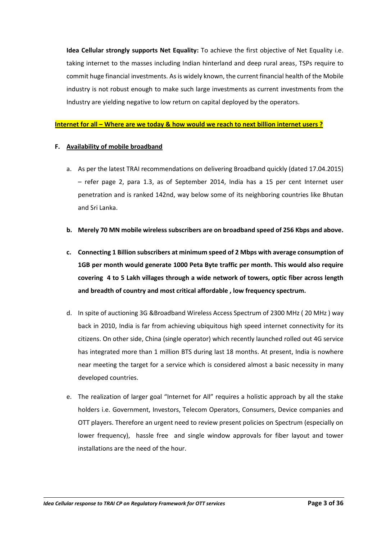**Idea Cellular strongly supports Net Equality:** To achieve the first objective of Net Equality i.e. taking internet to the masses including Indian hinterland and deep rural areas, TSPs require to commit huge financial investments. As is widely known, the current financial health of the Mobile industry is not robust enough to make such large investments as current investments from the Industry are yielding negative to low return on capital deployed by the operators.

#### **Internet for all – Where are we today & how would we reach to next billion internet users ?**

#### **F. Availability of mobile broadband**

- a. As per the latest TRAI recommendations on delivering Broadband quickly (dated 17.04.2015) – refer page 2, para 1.3, as of September 2014, India has a 15 per cent Internet user penetration and is ranked 142nd, way below some of its neighboring countries like Bhutan and Sri Lanka.
- **b. Merely 70 MN mobile wireless subscribers are on broadband speed of 256 Kbps and above.**
- **c. Connecting 1 Billion subscribers at minimum speed of 2 Mbps with average consumption of 1GB per month would generate 1000 Peta Byte traffic per month. This would also require covering 4 to 5 Lakh villages through a wide network of towers, optic fiber across length and breadth of country and most critical affordable , low frequency spectrum.**
- d. In spite of auctioning 3G &Broadband Wireless Access Spectrum of 2300 MHz ( 20 MHz ) way back in 2010, India is far from achieving ubiquitous high speed internet connectivity for its citizens. On other side, China (single operator) which recently launched rolled out 4G service has integrated more than 1 million BTS during last 18 months. At present, India is nowhere near meeting the target for a service which is considered almost a basic necessity in many developed countries.
- e. The realization of larger goal "Internet for All" requires a holistic approach by all the stake holders i.e. Government, Investors, Telecom Operators, Consumers, Device companies and OTT players. Therefore an urgent need to review present policies on Spectrum (especially on lower frequency), hassle free and single window approvals for fiber layout and tower installations are the need of the hour.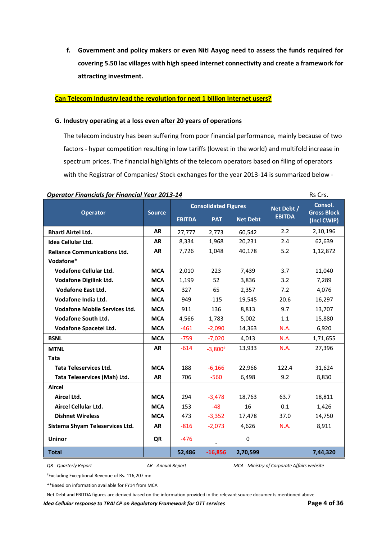**f. Government and policy makers or even Niti Aayog need to assess the funds required for covering 5.50 lac villages with high speed internet connectivity and create a framework for attracting investment.** 

#### **Can Telecom Industry lead the revolution for next 1 billion Internet users?**

#### **G. Industry operating at a loss even after 20 years of operations**

The telecom industry has been suffering from poor financial performance, mainly because of two factors - hyper competition resulting in low tariffs (lowest in the world) and multifold increase in spectrum prices. The financial highlights of the telecom operators based on filing of operators with the Registrar of Companies/ Stock exchanges for the year 2013-14 is summarized below -

| <u> Operator Financiais for Financiai Tear 2013-14</u><br>נכוט כוו |               |                                                                               |               |                             |                                              |          |  |
|--------------------------------------------------------------------|---------------|-------------------------------------------------------------------------------|---------------|-----------------------------|----------------------------------------------|----------|--|
| <b>Operator</b>                                                    | <b>Source</b> | <b>Consolidated Figures</b><br><b>EBITDA</b><br><b>PAT</b><br><b>Net Debt</b> |               | Net Debt /<br><b>EBITDA</b> | Consol.<br><b>Gross Block</b><br>(Incl CWIP) |          |  |
| <b>Bharti Airtel Ltd.</b>                                          | <b>AR</b>     | 27,777                                                                        | 2,773         | 60,542                      | 2.2                                          | 2,10,196 |  |
| Idea Cellular Ltd.                                                 | <b>AR</b>     | 8,334                                                                         | 1,968         | 20,231                      | 2.4                                          | 62,639   |  |
| <b>Reliance Communications Ltd.</b>                                | <b>AR</b>     | 7,726                                                                         | 1,048         | 40,178                      | 5.2                                          | 1,12,872 |  |
| Vodafone*                                                          |               |                                                                               |               |                             |                                              |          |  |
| Vodafone Cellular Ltd.                                             | <b>MCA</b>    | 2,010                                                                         | 223           | 7,439                       | 3.7                                          | 11,040   |  |
| <b>Vodafone Digilink Ltd.</b>                                      | <b>MCA</b>    | 1,199                                                                         | 52            | 3,836                       | 3.2                                          | 7,289    |  |
| <b>Vodafone East Ltd.</b>                                          | <b>MCA</b>    | 327                                                                           | 65            | 2,357                       | 7.2                                          | 4,076    |  |
| Vodafone India Ltd.                                                | <b>MCA</b>    | 949                                                                           | $-115$        | 19,545                      | 20.6                                         | 16,297   |  |
| <b>Vodafone Mobile Services Ltd.</b>                               | <b>MCA</b>    | 911                                                                           | 136           | 8,813                       | 9.7                                          | 13,707   |  |
| <b>Vodafone South Ltd.</b>                                         | <b>MCA</b>    | 4,566                                                                         | 1,783         | 5,002                       | 1.1                                          | 15,880   |  |
| Vodafone Spacetel Ltd.                                             | <b>MCA</b>    | $-461$                                                                        | $-2,090$      | 14,363                      | N.A.                                         | 6,920    |  |
| <b>BSNL</b>                                                        | <b>MCA</b>    | $-759$                                                                        | $-7,020$      | 4,013                       | N.A.                                         | 1,71,655 |  |
| <b>MTNL</b>                                                        | <b>AR</b>     | $-614$                                                                        | $-3,800^{\#}$ | 13,933                      | N.A.                                         | 27,396   |  |
| Tata                                                               |               |                                                                               |               |                             |                                              |          |  |
| <b>Tata Teleservices Ltd.</b>                                      | <b>MCA</b>    | 188                                                                           | $-6,166$      | 22,966                      | 122.4                                        | 31,624   |  |
| Tata Teleservices (Mah) Ltd.                                       | <b>AR</b>     | 706                                                                           | $-560$        | 6,498                       | 9.2                                          | 8,830    |  |
| <b>Aircel</b>                                                      |               |                                                                               |               |                             |                                              |          |  |
| Aircel Ltd.                                                        | <b>MCA</b>    | 294                                                                           | $-3,478$      | 18,763                      | 63.7                                         | 18,811   |  |
| <b>Aircel Cellular Ltd.</b>                                        | <b>MCA</b>    | 153                                                                           | $-48$         | 16                          | 0.1                                          | 1,426    |  |
| <b>Dishnet Wireless</b>                                            | <b>MCA</b>    | 473                                                                           | $-3,352$      | 17,478                      | 37.0                                         | 14,750   |  |
| Sistema Shyam Teleservices Ltd.                                    | <b>AR</b>     | $-816$                                                                        | $-2,073$      | 4,626                       | <b>N.A.</b>                                  | 8,911    |  |
| <b>Uninor</b>                                                      | QR            | $-476$                                                                        |               | 0                           |                                              |          |  |
| <b>Total</b>                                                       |               | 52,486                                                                        | $-16,856$     | 2,70,599                    |                                              | 7,44,320 |  |

### **Operator Financials for Financial Year 2013-14** Report **Report Financial Structure Property**

*QR - Quarterly Report AR - Annual Report MCA - Ministry of Corporate Affairs website*

#Excluding Exceptional Revenue of Rs. 116,207 mn

\*\*Based on information available for FY14 from MCA

Net Debt and EBITDA figures are derived based on the information provided in the relevant source documents mentioned above

*Idea Cellular response to TRAI CP on Regulatory Framework for OTT services* **Page 4 of 36**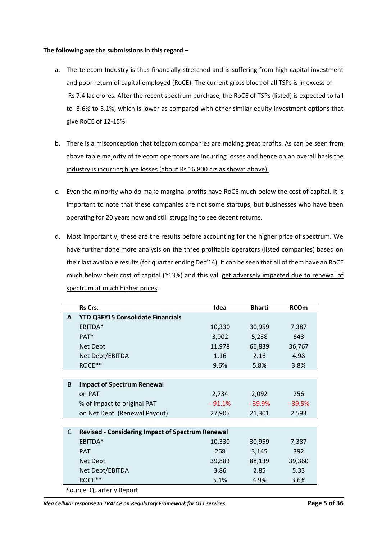### **The following are the submissions in this regard –**

- a. The telecom Industry is thus financially stretched and is suffering from high capital investment and poor return of capital employed (RoCE). The current gross block of all TSPs is in excess of Rs 7.4 lac crores. After the recent spectrum purchase, the RoCE of TSPs (listed) is expected to fall to 3.6% to 5.1%, which is lower as compared with other similar equity investment options that give RoCE of 12-15%.
- b. There is a misconception that telecom companies are making great profits. As can be seen from above table majority of telecom operators are incurring losses and hence on an overall basis the industry is incurring huge losses (about Rs 16,800 crs as shown above).
- c. Even the minority who do make marginal profits have RoCE much below the cost of capital. It is important to note that these companies are not some startups, but businesses who have been operating for 20 years now and still struggling to see decent returns.
- d. Most importantly, these are the results before accounting for the higher price of spectrum. We have further done more analysis on the three profitable operators (listed companies) based on their last available results (for quarter ending Dec'14). It can be seen that all of them have an RoCE much below their cost of capital (~13%) and this will get adversely impacted due to renewal of spectrum at much higher prices.

|    | Rs Crs.                                                 | Idea     | <b>Bharti</b> | <b>RCOm</b> |  |  |  |
|----|---------------------------------------------------------|----------|---------------|-------------|--|--|--|
| A  | <b>YTD Q3FY15 Consolidate Financials</b>                |          |               |             |  |  |  |
|    | EBITDA*                                                 | 10,330   | 30,959        | 7,387       |  |  |  |
|    | PAT <sup>*</sup>                                        | 3,002    | 5,238         | 648         |  |  |  |
|    | Net Debt                                                | 11,978   | 66,839        | 36,767      |  |  |  |
|    | Net Debt/EBITDA                                         | 1.16     | 2.16          | 4.98        |  |  |  |
|    | ROCE**                                                  | 9.6%     | 5.8%          | 3.8%        |  |  |  |
|    |                                                         |          |               |             |  |  |  |
| B  | <b>Impact of Spectrum Renewal</b>                       |          |               |             |  |  |  |
|    | on PAT                                                  | 2,734    | 2,092         | 256         |  |  |  |
|    | % of impact to original PAT                             | $-91.1%$ | $-39.9%$      | $-39.5%$    |  |  |  |
|    | on Net Debt (Renewal Payout)                            | 27,905   | 21,301        | 2,593       |  |  |  |
|    |                                                         |          |               |             |  |  |  |
| C. | <b>Revised - Considering Impact of Spectrum Renewal</b> |          |               |             |  |  |  |
|    | EBITDA*                                                 | 10,330   | 30,959        | 7,387       |  |  |  |
|    | <b>PAT</b>                                              | 268      | 3,145         | 392         |  |  |  |
|    | Net Debt                                                | 39,883   | 88,139        | 39,360      |  |  |  |
|    | Net Debt/EBITDA                                         | 3.86     | 2.85          | 5.33        |  |  |  |
|    | ROCE**                                                  | 5.1%     | 4.9%          | 3.6%        |  |  |  |
|    | Source: Quarterly Report                                |          |               |             |  |  |  |

*Idea Cellular response to TRAI CP on Regulatory Framework for OTT services* **Page 5 Page 5 of 36**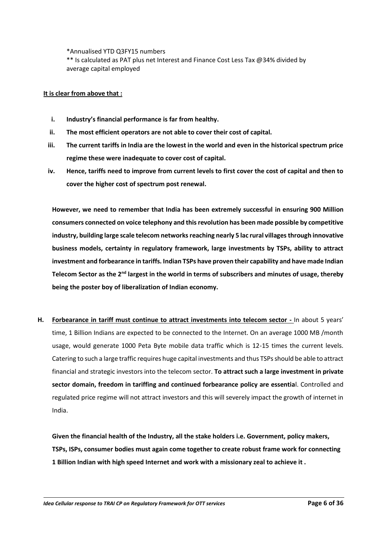\*Annualised YTD Q3FY15 numbers

\*\* Is calculated as PAT plus net Interest and Finance Cost Less Tax @34% divided by average capital employed

### **It is clear from above that :**

- **i. Industry's financial performance is far from healthy.**
- **ii. The most efficient operators are not able to cover their cost of capital.**
- **iii. The current tariffs in India are the lowest in the world and even in the historical spectrum price regime these were inadequate to cover cost of capital.**
- **iv. Hence, tariffs need to improve from current levels to first cover the cost of capital and then to cover the higher cost of spectrum post renewal.**

**However, we need to remember that India has been extremely successful in ensuring 900 Million consumers connected on voice telephony and this revolution has been made possible by competitive industry, building large scale telecom networks reaching nearly 5 lac rural villages through innovative business models, certainty in regulatory framework, large investments by TSPs, ability to attract investment and forbearance in tariffs. Indian TSPs have proven their capability and have made Indian Telecom Sector as the 2nd largest in the world in terms of subscribers and minutes of usage, thereby being the poster boy of liberalization of Indian economy.** 

**H. Forbearance in tariff must continue to attract investments into telecom sector -** In about 5 years' time, 1 Billion Indians are expected to be connected to the Internet. On an average 1000 MB /month usage, would generate 1000 Peta Byte mobile data traffic which is 12-15 times the current levels. Catering to such a large traffic requires huge capital investments and thus TSPs should be able to attract financial and strategic investors into the telecom sector. **To attract such a large investment in private sector domain, freedom in tariffing and continued forbearance policy are essentia**l. Controlled and regulated price regime will not attract investors and this will severely impact the growth of internet in India.

**Given the financial health of the Industry, all the stake holders i.e. Government, policy makers, TSPs, ISPs, consumer bodies must again come together to create robust frame work for connecting 1 Billion Indian with high speed Internet and work with a missionary zeal to achieve it .**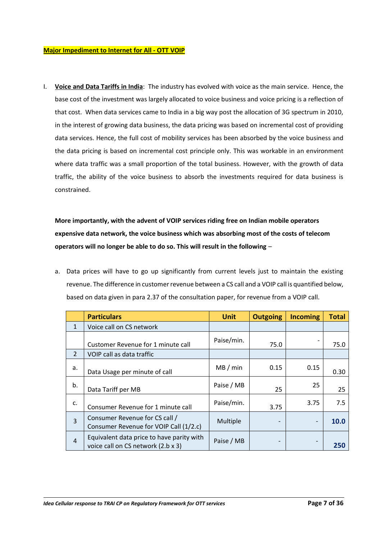#### **Major Impediment to Internet for All - OTT VOIP**

I. **Voice and Data Tariffs in India**: The industry has evolved with voice as the main service. Hence, the base cost of the investment was largely allocated to voice business and voice pricing is a reflection of that cost. When data services came to India in a big way post the allocation of 3G spectrum in 2010, in the interest of growing data business, the data pricing was based on incremental cost of providing data services. Hence, the full cost of mobility services has been absorbed by the voice business and the data pricing is based on incremental cost principle only. This was workable in an environment where data traffic was a small proportion of the total business. However, with the growth of data traffic, the ability of the voice business to absorb the investments required for data business is constrained.

**More importantly, with the advent of VOIP services riding free on Indian mobile operators expensive data network, the voice business which was absorbing most of the costs of telecom operators will no longer be able to do so. This will result in the following** –

a. Data prices will have to go up significantly from current levels just to maintain the existing revenue. The difference in customer revenue between a CS call and a VOIP call is quantified below, based on data given in para 2.37 of the consultation paper, for revenue from a VOIP call.

|                | <b>Particulars</b>                                                              | <b>Unit</b> | <b>Outgoing</b> | <b>Incoming</b>          | <b>Total</b> |
|----------------|---------------------------------------------------------------------------------|-------------|-----------------|--------------------------|--------------|
| $\mathbf{1}$   | Voice call on CS network                                                        |             |                 |                          |              |
|                | Customer Revenue for 1 minute call                                              | Paise/min.  | 75.0            |                          | 75.0         |
| $\overline{2}$ | VOIP call as data traffic                                                       |             |                 |                          |              |
| a.             | Data Usage per minute of call                                                   | MB/min      | 0.15            | 0.15                     | 0.30         |
| b.             | Data Tariff per MB                                                              | Paise / MB  | 25              | 25                       | 25           |
| c.             | Consumer Revenue for 1 minute call                                              | Paise/min.  | 3.75            | 3.75                     | 7.5          |
| $\overline{3}$ | Consumer Revenue for CS call /<br>Consumer Revenue for VOIP Call (1/2.c)        | Multiple    |                 | $\overline{\phantom{a}}$ | 10.0         |
| $\overline{4}$ | Equivalent data price to have parity with<br>voice call on CS network (2.b x 3) | Paise / MB  | -               |                          | 250          |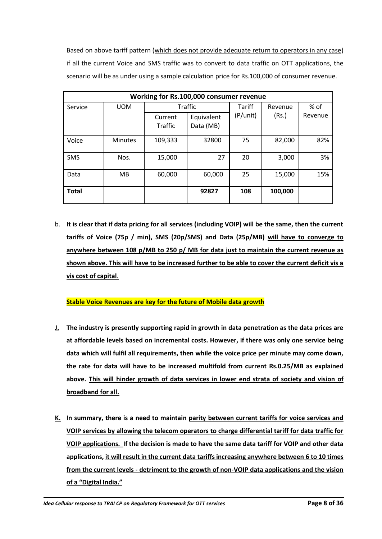Based on above tariff pattern (which does not provide adequate return to operators in any case) if all the current Voice and SMS traffic was to convert to data traffic on OTT applications, the scenario will be as under using a sample calculation price for Rs.100,000 of consumer revenue.

| Working for Rs.100,000 consumer revenue |                |                       |           |          |         |         |  |
|-----------------------------------------|----------------|-----------------------|-----------|----------|---------|---------|--|
| Service                                 | <b>UOM</b>     | <b>Traffic</b>        |           | Tariff   | Revenue | % of    |  |
|                                         |                | Equivalent<br>Current |           | (P/unit) | (Rs.)   | Revenue |  |
|                                         |                | <b>Traffic</b>        | Data (MB) |          |         |         |  |
| Voice                                   | <b>Minutes</b> | 109,333               | 32800     | 75       | 82,000  | 82%     |  |
| <b>SMS</b>                              | Nos.           | 15,000                | 27        | 20       | 3,000   | 3%      |  |
| Data                                    | MВ             | 60,000                | 60,000    | 25       | 15,000  | 15%     |  |
| <b>Total</b>                            |                |                       | 92827     | 108      | 100,000 |         |  |

b. **It is clear that if data pricing for all services (including VOIP) will be the same, then the current tariffs of Voice (75p / min), SMS (20p/SMS) and Data (25p/MB) will have to converge to anywhere between 108 p/MB to 250 p/ MB for data just to maintain the current revenue as shown above. This will have to be increased further to be able to cover the current deficit vis a vis cost of capital**.

## **Stable Voice Revenues are key for the future of Mobile data growth**

- **J. The industry is presently supporting rapid in growth in data penetration as the data prices are at affordable levels based on incremental costs. However, if there was only one service being data which will fulfil all requirements, then while the voice price per minute may come down, the rate for data will have to be increased multifold from current Rs.0.25/MB as explained above. This will hinder growth of data services in lower end strata of society and vision of broadband for all.**
- **K. In summary, there is a need to maintain parity between current tariffs for voice services and VOIP services by allowing the telecom operators to charge differential tariff for data traffic for VOIP applications. If the decision is made to have the same data tariff for VOIP and other data applications, it will result in the current data tariffs increasing anywhere between 6 to 10 times from the current levels - detriment to the growth of non-VOIP data applications and the vision of a "Digital India."**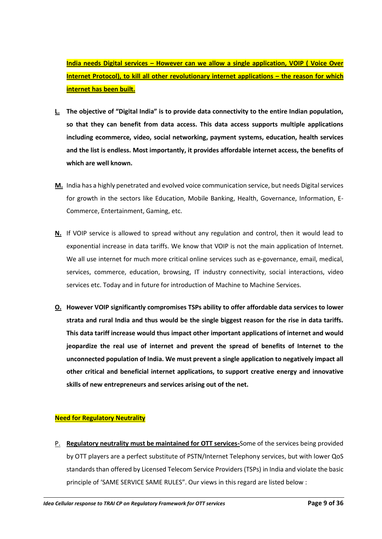**India needs Digital services – However can we allow a single application, VOIP ( Voice Over Internet Protocol), to kill all other revolutionary internet applications – the reason for which internet has been built.**

- **L. The objective of "Digital India" is to provide data connectivity to the entire Indian population, so that they can benefit from data access. This data access supports multiple applications including ecommerce, video, social networking, payment systems, education, health services and the list is endless. Most importantly, it provides affordable internet access, the benefits of which are well known.**
- **M.** India has a highly penetrated and evolved voice communication service, but needs Digital services for growth in the sectors like Education, Mobile Banking, Health, Governance, Information, E-Commerce, Entertainment, Gaming, etc.
- **N.** If VOIP service is allowed to spread without any regulation and control, then it would lead to exponential increase in data tariffs. We know that VOIP is not the main application of Internet. We all use internet for much more critical online services such as e-governance, email, medical, services, commerce, education, browsing, IT industry connectivity, social interactions, video services etc. Today and in future for introduction of Machine to Machine Services.
- **O. However VOIP significantly compromises TSPs ability to offer affordable data services to lower strata and rural India and thus would be the single biggest reason for the rise in data tariffs. This data tariff increase would thus impact other important applications of internet and would jeopardize the real use of internet and prevent the spread of benefits of Internet to the unconnected population of India. We must prevent a single application to negatively impact all other critical and beneficial internet applications, to support creative energy and innovative skills of new entrepreneurs and services arising out of the net.**

## **Need for Regulatory Neutrality**

P. **Regulatory neutrality must be maintained for OTT services-**Some of the services being provided by OTT players are a perfect substitute of PSTN/Internet Telephony services, but with lower QoS standards than offered by Licensed Telecom Service Providers (TSPs) in India and violate the basic principle of 'SAME SERVICE SAME RULES". Our views in this regard are listed below :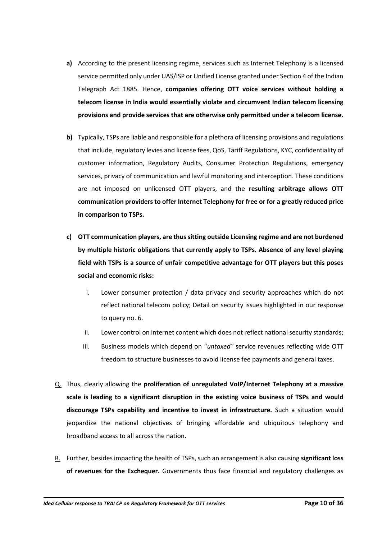- **a)** According to the present licensing regime, services such as Internet Telephony is a licensed service permitted only under UAS/ISP or Unified License granted under Section 4 of the Indian Telegraph Act 1885. Hence, **companies offering OTT voice services without holding a telecom license in India would essentially violate and circumvent Indian telecom licensing provisions and provide services that are otherwise only permitted under a telecom license.**
- **b)** Typically, TSPs are liable and responsible for a plethora of licensing provisions and regulations that include, regulatory levies and license fees, QoS, Tariff Regulations, KYC, confidentiality of customer information, Regulatory Audits, Consumer Protection Regulations, emergency services, privacy of communication and lawful monitoring and interception. These conditions are not imposed on unlicensed OTT players, and the **resulting arbitrage allows OTT communication providers to offer Internet Telephony for free or for a greatly reduced price in comparison to TSPs.**
- **c) OTT communication players, are thus sitting outside Licensing regime and are not burdened by multiple historic obligations that currently apply to TSPs. Absence of any level playing field with TSPs is a source of unfair competitive advantage for OTT players but this poses social and economic risks:**
	- i. Lower consumer protection / data privacy and security approaches which do not reflect national telecom policy; Detail on security issues highlighted in our response to query no. 6.
	- ii. Lower control on internet content which does not reflect national security standards;
	- iii. Business models which depend on "*untaxed"* service revenues reflecting wide OTT freedom to structure businesses to avoid license fee payments and general taxes.
- Q. Thus, clearly allowing the **proliferation of unregulated VoIP/Internet Telephony at a massive scale is leading to a significant disruption in the existing voice business of TSPs and would discourage TSPs capability and incentive to invest in infrastructure.** Such a situation would jeopardize the national objectives of bringing affordable and ubiquitous telephony and broadband access to all across the nation.
- R. Further, besides impacting the health of TSPs, such an arrangement is also causing **significant loss of revenues for the Exchequer.** Governments thus face financial and regulatory challenges as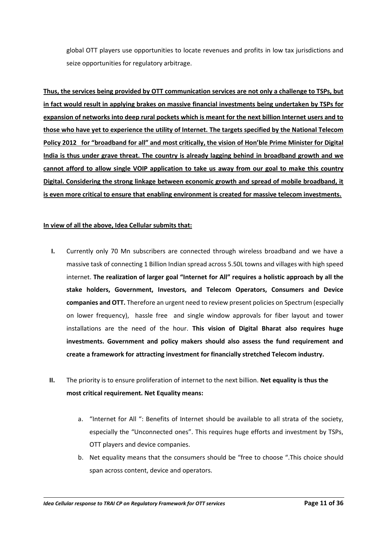global OTT players use opportunities to locate revenues and profits in low tax jurisdictions and seize opportunities for regulatory arbitrage.

**Thus, the services being provided by OTT communication services are not only a challenge to TSPs, but in fact would result in applying brakes on massive financial investments being undertaken by TSPs for expansion of networks into deep rural pockets which is meant for the next billion Internet users and to those who have yet to experience the utility of Internet. The targets specified by the National Telecom Policy 2012 for "broadband for all" and most critically, the vision of Hon'ble Prime Minister for Digital India is thus under grave threat. The country is already lagging behind in broadband growth and we cannot afford to allow single VOIP application to take us away from our goal to make this country Digital. Considering the strong linkage between economic growth and spread of mobile broadband, it is even more critical to ensure that enabling environment is created for massive telecom investments.**

### **In view of all the above, Idea Cellular submits that:**

- **I.** Currently only 70 Mn subscribers are connected through wireless broadband and we have a massive task of connecting 1 Billion Indian spread across 5.50L towns and villages with high speed internet. **The realization of larger goal "Internet for All" requires a holistic approach by all the stake holders, Government, Investors, and Telecom Operators, Consumers and Device companies and OTT.** Therefore an urgent need to review present policies on Spectrum (especially on lower frequency), hassle free and single window approvals for fiber layout and tower installations are the need of the hour. **This vision of Digital Bharat also requires huge investments. Government and policy makers should also assess the fund requirement and create a framework for attracting investment for financially stretched Telecom industry.**
- **II.** The priority is to ensure proliferation of internet to the next billion. **Net equality is thus the most critical requirement. Net Equality means:**
	- a. "Internet for All ": Benefits of Internet should be available to all strata of the society, especially the "Unconnected ones". This requires huge efforts and investment by TSPs, OTT players and device companies.
	- b. Net equality means that the consumers should be "free to choose ".This choice should span across content, device and operators.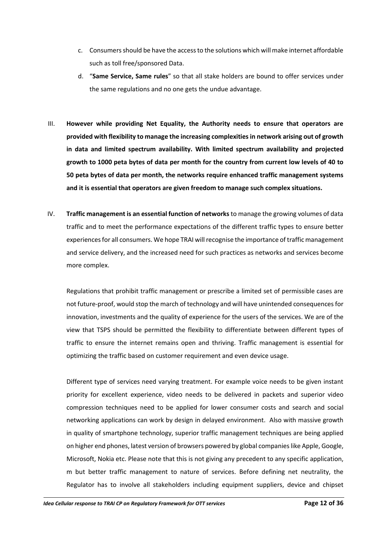- c. Consumers should be have the access to the solutions which will make internet affordable such as toll free/sponsored Data.
- d. "**Same Service, Same rules**" so that all stake holders are bound to offer services under the same regulations and no one gets the undue advantage.
- III. **However while providing Net Equality, the Authority needs to ensure that operators are provided with flexibility to manage the increasing complexities in network arising out of growth in data and limited spectrum availability. With limited spectrum availability and projected growth to 1000 peta bytes of data per month for the country from current low levels of 40 to 50 peta bytes of data per month, the networks require enhanced traffic management systems and it is essential that operators are given freedom to manage such complex situations.**
- IV. **Traffic management is an essential function of networks** to manage the growing volumes of data traffic and to meet the performance expectations of the different traffic types to ensure better experiences for all consumers. We hope TRAI will recognise the importance of traffic management and service delivery, and the increased need for such practices as networks and services become more complex.

Regulations that prohibit traffic management or prescribe a limited set of permissible cases are not future-proof, would stop the march of technology and will have unintended consequences for innovation, investments and the quality of experience for the users of the services. We are of the view that TSPS should be permitted the flexibility to differentiate between different types of traffic to ensure the internet remains open and thriving. Traffic management is essential for optimizing the traffic based on customer requirement and even device usage.

Different type of services need varying treatment. For example voice needs to be given instant priority for excellent experience, video needs to be delivered in packets and superior video compression techniques need to be applied for lower consumer costs and search and social networking applications can work by design in delayed environment. Also with massive growth in quality of smartphone technology, superior traffic management techniques are being applied on higher end phones, latest version of browsers powered by global companieslike Apple, Google, Microsoft, Nokia etc. Please note that this is not giving any precedent to any specific application, m but better traffic management to nature of services. Before defining net neutrality, the Regulator has to involve all stakeholders including equipment suppliers, device and chipset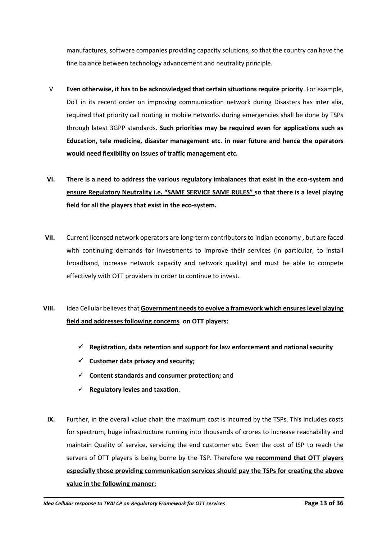manufactures, software companies providing capacity solutions, so that the country can have the fine balance between technology advancement and neutrality principle.

- V. **Even otherwise, it has to be acknowledged that certain situations require priority**. For example, DoT in its recent order on improving communication network during Disasters has inter alia, required that priority call routing in mobile networks during emergencies shall be done by TSPs through latest 3GPP standards. **Such priorities may be required even for applications such as Education, tele medicine, disaster management etc. in near future and hence the operators would need flexibility on issues of traffic management etc.**
- **VI. There is a need to address the various regulatory imbalances that exist in the eco-system and ensure Regulatory Neutrality i.e. "SAME SERVICE SAME RULES" so that there is a level playing field for all the players that exist in the eco-system.**
- **VII.** Current licensed network operators are long-term contributors to Indian economy , but are faced with continuing demands for investments to improve their services (in particular, to install broadband, increase network capacity and network quality) and must be able to compete effectively with OTT providers in order to continue to invest.
- **VIII.** Idea Cellular believes that **Government needs to evolve a framework which ensures level playing field and addresses following concerns on OTT players:** 
	- **Registration, data retention and support for law enforcement and national security**
	- $\checkmark$  Customer data privacy and security;
	- **Content standards and consumer protection;** and
	- $\checkmark$  Regulatory levies and taxation.
	- **IX.** Further, in the overall value chain the maximum cost is incurred by the TSPs. This includes costs for spectrum, huge infrastructure running into thousands of crores to increase reachability and maintain Quality of service, servicing the end customer etc. Even the cost of ISP to reach the servers of OTT players is being borne by the TSP. Therefore **we recommend that OTT players especially those providing communication services should pay the TSPs for creating the above value in the following manner:**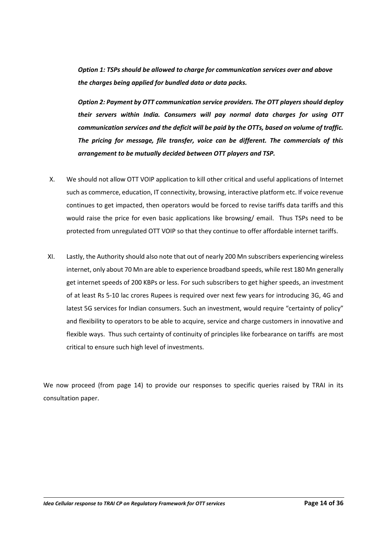*Option 1: TSPs should be allowed to charge for communication services over and above the charges being applied for bundled data or data packs.*

*Option 2: Payment by OTT communication service providers. The OTT players should deploy their servers within India. Consumers will pay normal data charges for using OTT communication services and the deficit will be paid by the OTTs, based on volume of traffic. The pricing for message, file transfer, voice can be different. The commercials of this arrangement to be mutually decided between OTT players and TSP.*

- X. We should not allow OTT VOIP application to kill other critical and useful applications of Internet such as commerce, education, IT connectivity, browsing, interactive platform etc. If voice revenue continues to get impacted, then operators would be forced to revise tariffs data tariffs and this would raise the price for even basic applications like browsing/ email. Thus TSPs need to be protected from unregulated OTT VOIP so that they continue to offer affordable internet tariffs.
- XI. Lastly, the Authority should also note that out of nearly 200 Mn subscribers experiencing wireless internet, only about 70 Mn are able to experience broadband speeds, while rest 180 Mn generally get internet speeds of 200 KBPs or less. For such subscribers to get higher speeds, an investment of at least Rs 5-10 lac crores Rupees is required over next few years for introducing 3G, 4G and latest 5G services for Indian consumers. Such an investment, would require "certainty of policy" and flexibility to operators to be able to acquire, service and charge customers in innovative and flexible ways. Thus such certainty of continuity of principles like forbearance on tariffs are most critical to ensure such high level of investments.

We now proceed (from page 14) to provide our responses to specific queries raised by TRAI in its consultation paper.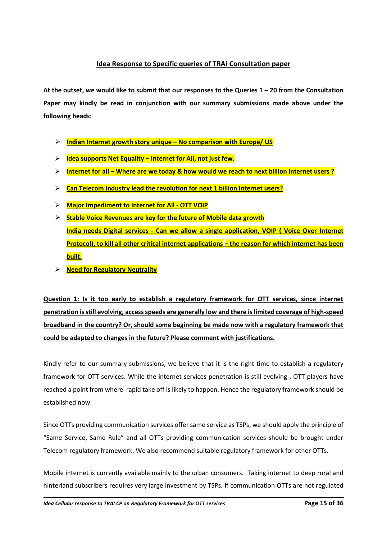## **Idea Response to Specific queries of TRAI Consultation paper**

**At the outset, we would like to submit that our responses to the Queries 1 – 20 from the Consultation Paper may kindly be read in conjunction with our summary submissions made above under the following heads:**

- **Indian Internet growth story unique – No comparison with Europe/ US**
- **Idea supports Net Equality – Internet for All, not just few.**
- **Internet for all – Where are we today & how would we reach to next billion internet users ?**
- **Can Telecom Industry lead the revolution for next 1 billion Internet users?**
- **Major Impediment to Internet for All - OTT VOIP**
- **Stable Voice Revenues are key for the future of Mobile data growth India needs Digital services - Can we allow a single application, VOIP ( Voice Over Internet Protocol), to kill all other critical internet applications – the reason for which internet has been built.**
- **Need for Regulatory Neutrality**

**Question 1: Is it too early to establish a regulatory framework for OTT services, since internet penetration is still evolving, access speeds are generally low and there is limited coverage of high-speed broadband in the country? Or, should some beginning be made now with a regulatory framework that could be adapted to changes in the future? Please comment with justifications.**

Kindly refer to our summary submissions, we believe that it is the right time to establish a regulatory framework for OTT services. While the internet services penetration is still evolving , OTT players have reached a point from where rapid take off is likely to happen. Hence the regulatory framework should be established now.

Since OTTs providing communication services offer same service as TSPs, we should apply the principle of "Same Service, Same Rule" and all OTTs providing communication services should be brought under Telecom regulatory framework. We also recommend suitable regulatory framework for other OTTs.

Mobile internet is currently available mainly to the urban consumers. Taking internet to deep rural and hinterland subscribers requires very large investment by TSPs. If communication OTTs are not regulated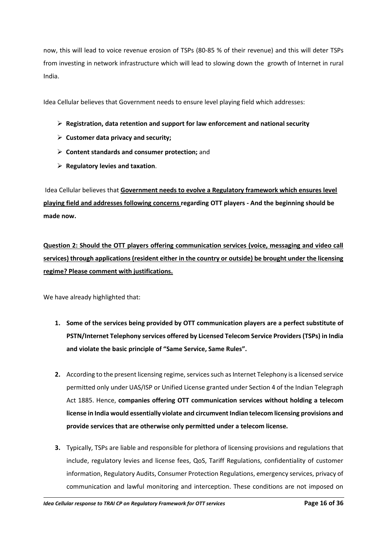now, this will lead to voice revenue erosion of TSPs (80-85 % of their revenue) and this will deter TSPs from investing in network infrastructure which will lead to slowing down the growth of Internet in rural India.

Idea Cellular believes that Government needs to ensure level playing field which addresses:

- **Registration, data retention and support for law enforcement and national security**
- **Customer data privacy and security;**
- **Content standards and consumer protection;** and
- **Regulatory levies and taxation**.

Idea Cellular believes that **Government needs to evolve a Regulatory framework which ensures level playing field and addresses following concerns regarding OTT players - And the beginning should be made now.**

**Question 2: Should the OTT players offering communication services (voice, messaging and video call services) through applications (resident either in the country or outside) be brought under the licensing regime? Please comment with justifications.**

We have already highlighted that:

- **1. Some of the services being provided by OTT communication players are a perfect substitute of PSTN/Internet Telephony services offered by Licensed Telecom Service Providers (TSPs) in India and violate the basic principle of "Same Service, Same Rules".**
- **2.** According to the present licensing regime, services such as Internet Telephony is a licensed service permitted only under UAS/ISP or Unified License granted under Section 4 of the Indian Telegraph Act 1885. Hence, **companies offering OTT communication services without holding a telecom license in India would essentially violate and circumvent Indian telecom licensing provisions and provide services that are otherwise only permitted under a telecom license.**
- **3.** Typically, TSPs are liable and responsible for plethora of licensing provisions and regulations that include, regulatory levies and license fees, QoS, Tariff Regulations, confidentiality of customer information, Regulatory Audits, Consumer Protection Regulations, emergency services, privacy of communication and lawful monitoring and interception. These conditions are not imposed on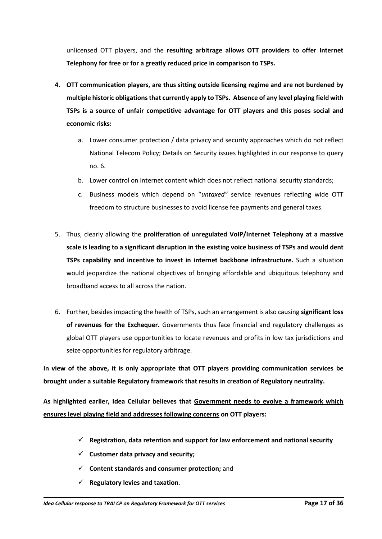unlicensed OTT players, and the **resulting arbitrage allows OTT providers to offer Internet Telephony for free or for a greatly reduced price in comparison to TSPs.** 

- **4. OTT communication players, are thus sitting outside licensing regime and are not burdened by multiple historic obligations that currently apply to TSPs. Absence of any level playing field with TSPs is a source of unfair competitive advantage for OTT players and this poses social and economic risks:**
	- a. Lower consumer protection / data privacy and security approaches which do not reflect National Telecom Policy; Details on Security issues highlighted in our response to query no. 6.
	- b. Lower control on internet content which does not reflect national security standards;
	- c. Business models which depend on "*untaxed"* service revenues reflecting wide OTT freedom to structure businesses to avoid license fee payments and general taxes.
- 5. Thus, clearly allowing the **proliferation of unregulated VoIP/Internet Telephony at a massive scale is leading to a significant disruption in the existing voice business of TSPs and would dent TSPs capability and incentive to invest in internet backbone infrastructure.** Such a situation would jeopardize the national objectives of bringing affordable and ubiquitous telephony and broadband access to all across the nation.
- 6. Further, besides impacting the health of TSPs, such an arrangement is also causing **significant loss of revenues for the Exchequer.** Governments thus face financial and regulatory challenges as global OTT players use opportunities to locate revenues and profits in low tax jurisdictions and seize opportunities for regulatory arbitrage.

**In view of the above, it is only appropriate that OTT players providing communication services be brought under a suitable Regulatory framework that results in creation of Regulatory neutrality.**

**As highlighted earlier, Idea Cellular believes that Government needs to evolve a framework which ensures level playing field and addresses following concerns on OTT players:** 

- **Registration, data retention and support for law enforcement and national security**
- $\checkmark$  Customer data privacy and security;
- **Content standards and consumer protection;** and
- $\checkmark$  Regulatory levies and taxation.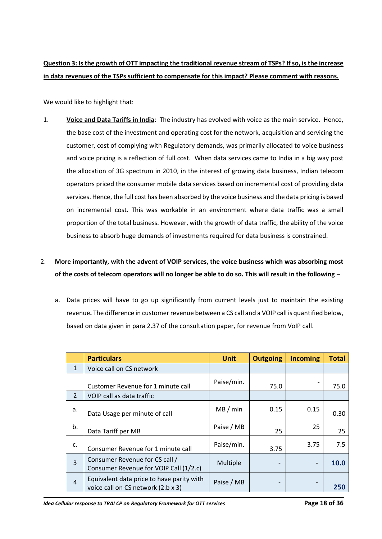# **Question 3: Is the growth of OTT impacting the traditional revenue stream of TSPs? If so, is the increase in data revenues of the TSPs sufficient to compensate for this impact? Please comment with reasons.**

We would like to highlight that:

1. **Voice and Data Tariffs in India**: The industry has evolved with voice as the main service. Hence, the base cost of the investment and operating cost for the network, acquisition and servicing the customer, cost of complying with Regulatory demands, was primarily allocated to voice business and voice pricing is a reflection of full cost. When data services came to India in a big way post the allocation of 3G spectrum in 2010, in the interest of growing data business, Indian telecom operators priced the consumer mobile data services based on incremental cost of providing data services. Hence, the full cost has been absorbed by the voice business and the data pricing is based on incremental cost. This was workable in an environment where data traffic was a small proportion of the total business. However, with the growth of data traffic, the ability of the voice business to absorb huge demands of investments required for data business is constrained.

# 2. **More importantly, with the advent of VOIP services, the voice business which was absorbing most of the costs of telecom operators will no longer be able to do so. This will result in the following** –

a. Data prices will have to go up significantly from current levels just to maintain the existing revenue**.** The difference in customer revenue between a CS call and a VOIP call is quantified below, based on data given in para 2.37 of the consultation paper, for revenue from VoIP call.

|                | <b>Particulars</b>                                                              | <b>Unit</b> | <b>Outgoing</b> | <b>Incoming</b> | <b>Total</b> |
|----------------|---------------------------------------------------------------------------------|-------------|-----------------|-----------------|--------------|
| 1              | Voice call on CS network                                                        |             |                 |                 |              |
|                | Customer Revenue for 1 minute call                                              | Paise/min.  | 75.0            |                 | 75.0         |
| $\overline{2}$ | VOIP call as data traffic                                                       |             |                 |                 |              |
| a.             | Data Usage per minute of call                                                   | MB/min      | 0.15            | 0.15            | 0.30         |
| b.             | Data Tariff per MB                                                              | Paise / MB  | 25              | 25              | 25           |
| c.             | Consumer Revenue for 1 minute call                                              | Paise/min.  | 3.75            | 3.75            | 7.5          |
| $\overline{3}$ | Consumer Revenue for CS call /<br>Consumer Revenue for VOIP Call (1/2.c)        | Multiple    |                 |                 | 10.0         |
| $\overline{4}$ | Equivalent data price to have parity with<br>voice call on CS network (2.b x 3) | Paise / MB  |                 |                 | 250          |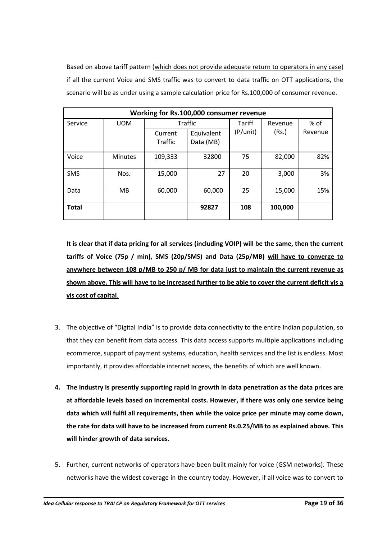Based on above tariff pattern (which does not provide adequate return to operators in any case) if all the current Voice and SMS traffic was to convert to data traffic on OTT applications, the scenario will be as under using a sample calculation price for Rs.100,000 of consumer revenue.

| Working for Rs.100,000 consumer revenue |                |                           |                         |               |         |         |  |
|-----------------------------------------|----------------|---------------------------|-------------------------|---------------|---------|---------|--|
| Service                                 | <b>UOM</b>     | <b>Traffic</b>            |                         | <b>Tariff</b> | Revenue | $%$ of  |  |
|                                         |                | Current<br><b>Traffic</b> | Equivalent<br>Data (MB) | (P/unit)      | (Rs.)   | Revenue |  |
| Voice                                   | <b>Minutes</b> | 109,333                   | 32800                   | 75            | 82,000  | 82%     |  |
| <b>SMS</b>                              | Nos.           | 15,000                    | 27                      | 20            | 3,000   | 3%      |  |
| Data                                    | MB             | 60,000                    | 60,000                  | 25            | 15,000  | 15%     |  |
| <b>Total</b>                            |                |                           | 92827                   | 108           | 100,000 |         |  |

**It is clear that if data pricing for all services (including VOIP) will be the same, then the current tariffs of Voice (75p / min), SMS (20p/SMS) and Data (25p/MB) will have to converge to anywhere between 108 p/MB to 250 p/ MB for data just to maintain the current revenue as shown above. This will have to be increased further to be able to cover the current deficit vis a vis cost of capital**.

- 3. The objective of "Digital India" is to provide data connectivity to the entire Indian population, so that they can benefit from data access. This data access supports multiple applications including ecommerce, support of payment systems, education, health services and the list is endless. Most importantly, it provides affordable internet access, the benefits of which are well known.
- **4. The industry is presently supporting rapid in growth in data penetration as the data prices are at affordable levels based on incremental costs. However, if there was only one service being data which will fulfil all requirements, then while the voice price per minute may come down, the rate for data will have to be increased from current Rs.0.25/MB to as explained above. This will hinder growth of data services.**
- 5. Further, current networks of operators have been built mainly for voice (GSM networks). These networks have the widest coverage in the country today. However, if all voice was to convert to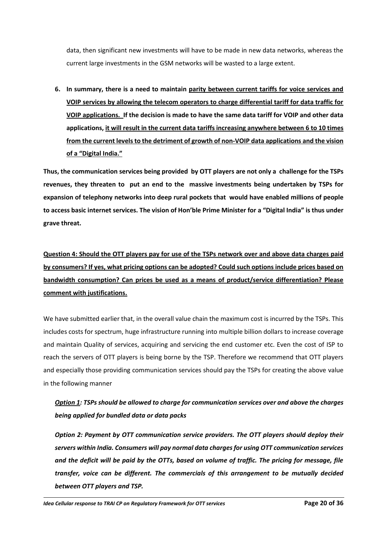data, then significant new investments will have to be made in new data networks, whereas the current large investments in the GSM networks will be wasted to a large extent.

**6. In summary, there is a need to maintain parity between current tariffs for voice services and VOIP services by allowing the telecom operators to charge differential tariff for data traffic for VOIP applications. If the decision is made to have the same data tariff for VOIP and other data applications, it will result in the current data tariffs increasing anywhere between 6 to 10 times from the current levels to the detriment of growth of non-VOIP data applications and the vision of a "Digital India."**

**Thus, the communication services being provided by OTT players are not only a challenge for the TSPs revenues, they threaten to put an end to the massive investments being undertaken by TSPs for expansion of telephony networks into deep rural pockets that would have enabled millions of people to access basic internet services. The vision of Hon'ble Prime Minister for a "Digital India" is thus under grave threat.** 

**Question 4: Should the OTT players pay for use of the TSPs network over and above data charges paid by consumers? If yes, what pricing options can be adopted? Could such options include prices based on bandwidth consumption? Can prices be used as a means of product/service differentiation? Please comment with justifications.**

We have submitted earlier that, in the overall value chain the maximum cost is incurred by the TSPs. This includes costs for spectrum, huge infrastructure running into multiple billion dollars to increase coverage and maintain Quality of services, acquiring and servicing the end customer etc. Even the cost of ISP to reach the servers of OTT players is being borne by the TSP. Therefore we recommend that OTT players and especially those providing communication services should pay the TSPs for creating the above value in the following manner

# *Option 1: TSPs should be allowed to charge for communication services over and above the charges being applied for bundled data or data packs*

*Option 2: Payment by OTT communication service providers. The OTT players should deploy their servers within India. Consumers will pay normal data charges for using OTT communication services and the deficit will be paid by the OTTs, based on volume of traffic. The pricing for message, file transfer, voice can be different. The commercials of this arrangement to be mutually decided between OTT players and TSP.*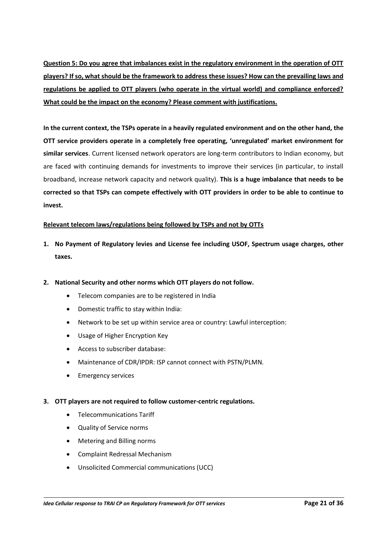**Question 5: Do you agree that imbalances exist in the regulatory environment in the operation of OTT players? If so, what should be the framework to address these issues? How can the prevailing laws and regulations be applied to OTT players (who operate in the virtual world) and compliance enforced? What could be the impact on the economy? Please comment with justifications.**

**In the current context, the TSPs operate in a heavily regulated environment and on the other hand, the OTT service providers operate in a completely free operating, 'unregulated' market environment for similar services**. Current licensed network operators are long-term contributors to Indian economy, but are faced with continuing demands for investments to improve their services (in particular, to install broadband, increase network capacity and network quality). **This is a huge imbalance that needs to be corrected so that TSPs can compete effectively with OTT providers in order to be able to continue to invest.** 

### **Relevant telecom laws/regulations being followed by TSPs and not by OTTs**

- **1. No Payment of Regulatory levies and License fee including USOF, Spectrum usage charges, other taxes.**
- **2. National Security and other norms which OTT players do not follow.**
	- Telecom companies are to be registered in India
	- Domestic traffic to stay within India:
	- Network to be set up within service area or country: Lawful interception:
	- Usage of Higher Encryption Key
	- Access to subscriber database:
	- Maintenance of CDR/IPDR: ISP cannot connect with PSTN/PLMN*.*
	- Emergency services

### **3. OTT players are not required to follow customer-centric regulations.**

- Telecommunications Tariff
- Quality of Service norms
- Metering and Billing norms
- Complaint Redressal Mechanism
- Unsolicited Commercial communications (UCC)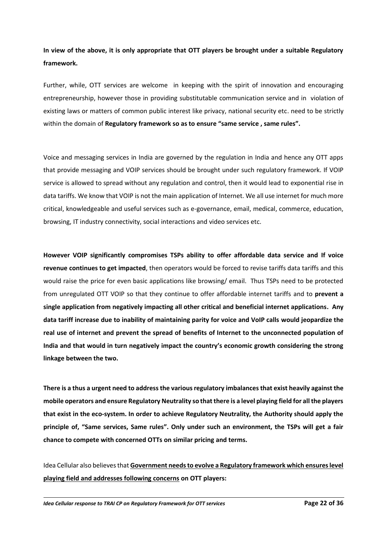**In view of the above, it is only appropriate that OTT players be brought under a suitable Regulatory framework.** 

Further, while, OTT services are welcome in keeping with the spirit of innovation and encouraging entrepreneurship, however those in providing substitutable communication service and in violation of existing laws or matters of common public interest like privacy, national security etc. need to be strictly within the domain of **Regulatory framework so as to ensure "same service , same rules".**

Voice and messaging services in India are governed by the regulation in India and hence any OTT apps that provide messaging and VOIP services should be brought under such regulatory framework. If VOIP service is allowed to spread without any regulation and control, then it would lead to exponential rise in data tariffs. We know that VOIP is not the main application of Internet. We all use internet for much more critical, knowledgeable and useful services such as e-governance, email, medical, commerce, education, browsing, IT industry connectivity, social interactions and video services etc.

**However VOIP significantly compromises TSPs ability to offer affordable data service and If voice revenue continues to get impacted**, then operators would be forced to revise tariffs data tariffs and this would raise the price for even basic applications like browsing/ email. Thus TSPs need to be protected from unregulated OTT VOIP so that they continue to offer affordable internet tariffs and to **prevent a single application from negatively impacting all other critical and beneficial internet applications. Any data tariff increase due to inability of maintaining parity for voice and VoIP calls would jeopardize the real use of internet and prevent the spread of benefits of Internet to the unconnected population of India and that would in turn negatively impact the country's economic growth considering the strong linkage between the two.**

**There is a thus a urgent need to address the various regulatory imbalances that exist heavily against the mobile operators and ensure Regulatory Neutrality so that there is a level playing field for all the players that exist in the eco-system. In order to achieve Regulatory Neutrality, the Authority should apply the principle of, "Same services, Same rules". Only under such an environment, the TSPs will get a fair chance to compete with concerned OTTs on similar pricing and terms.** 

Idea Cellular also believes that **Government needs to evolve a Regulatory framework which ensures level playing field and addresses following concerns on OTT players:**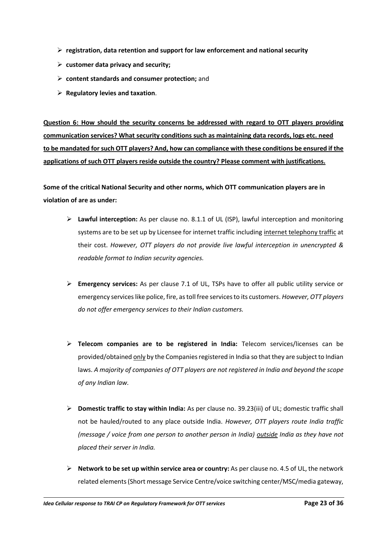- **registration, data retention and support for law enforcement and national security**
- **customer data privacy and security;**
- **content standards and consumer protection;** and
- **Regulatory levies and taxation**.

**Question 6: How should the security concerns be addressed with regard to OTT players providing communication services? What security conditions such as maintaining data records, logs etc. need to be mandated for such OTT players? And, how can compliance with these conditions be ensured if the applications of such OTT players reside outside the country? Please comment with justifications.**

**Some of the critical National Security and other norms, which OTT communication players are in violation of are as under:**

- **Lawful interception:** As per clause no. 8.1.1 of UL (ISP), lawful interception and monitoring systems are to be set up by Licensee for internet traffic including internet telephony traffic at their cost. *However, OTT players do not provide live lawful interception in unencrypted & readable format to Indian security agencies.*
- **Emergency services:** As per clause 7.1 of UL, TSPs have to offer all public utility service or emergency services like police, fire, as toll free services to its customers. *However, OTT players do not offer emergency services to their Indian customers.*
- **Telecom companies are to be registered in India:** Telecom services/licenses can be provided/obtained only by the Companies registered in India so that they are subject to Indian laws. *A majority of companies of OTT players are not registered in India and beyond the scope of any Indian law.*
- **Domestic traffic to stay within India:** As per clause no. 39.23(iii) of UL; domestic traffic shall not be hauled/routed to any place outside India. *However, OTT players route India traffic (message / voice from one person to another person in India) outside India as they have not placed their server in India.*
- **Network to be set up within service area or country:** As per clause no. 4.5 of UL, the network related elements (Short message Service Centre/voice switching center/MSC/media gateway,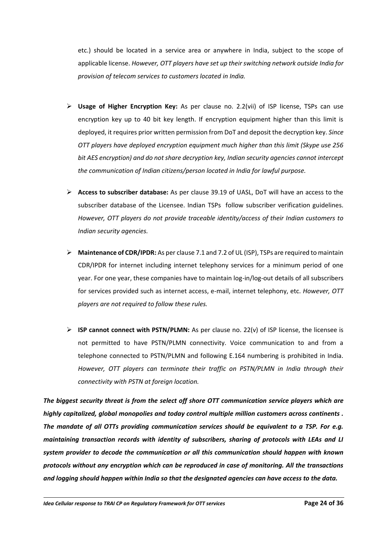etc.) should be located in a service area or anywhere in India, subject to the scope of applicable license. *However, OTT players have set up their switching network outside India for provision of telecom services to customers located in India.*

- **Usage of Higher Encryption Key:** As per clause no. 2.2(vii) of ISP license, TSPs can use encryption key up to 40 bit key length. If encryption equipment higher than this limit is deployed, it requires prior written permission from DoT and deposit the decryption key. *Since OTT players have deployed encryption equipment much higher than this limit (Skype use 256 bit AES encryption) and do not share decryption key, Indian security agencies cannot intercept the communication of Indian citizens/person located in India for lawful purpose.*
- **Access to subscriber database:** As per clause 39.19 of UASL, DoT will have an access to the subscriber database of the Licensee. Indian TSPs follow subscriber verification guidelines. *However, OTT players do not provide traceable identity/access of their Indian customers to Indian security agencies.*
- **Maintenance of CDR/IPDR:** As per clause 7.1 and 7.2 of UL (ISP), TSPs are required to maintain CDR/IPDR for internet including internet telephony services for a minimum period of one year. For one year, these companies have to maintain log-in/log-out details of all subscribers for services provided such as internet access, e-mail, internet telephony, etc. *However, OTT players are not required to follow these rules.*
- **ISP cannot connect with PSTN/PLMN:** As per clause no. 22(v) of ISP license, the licensee is not permitted to have PSTN/PLMN connectivity. Voice communication to and from a telephone connected to PSTN/PLMN and following E.164 numbering is prohibited in India. *However, OTT players can terminate their traffic on PSTN/PLMN in India through their connectivity with PSTN at foreign location.*

*The biggest security threat is from the select off shore OTT communication service players which are highly capitalized, global monopolies and today control multiple million customers across continents . The mandate of all OTTs providing communication services should be equivalent to a TSP. For e.g. maintaining transaction records with identity of subscribers, sharing of protocols with LEAs and LI system provider to decode the communication or all this communication should happen with known protocols without any encryption which can be reproduced in case of monitoring. All the transactions and logging should happen within India so that the designated agencies can have access to the data.*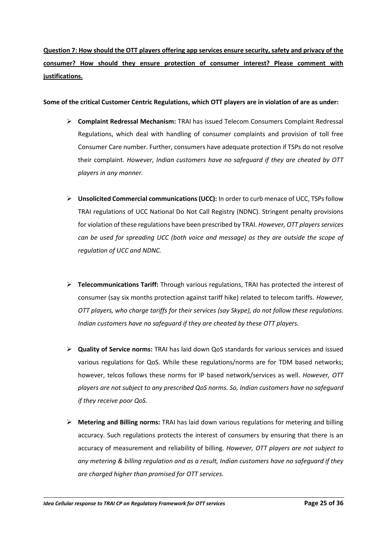**Question 7: How should the OTT players offering app services ensure security, safety and privacy of the consumer? How should they ensure protection of consumer interest? Please comment with justifications.**

**Some of the critical Customer Centric Regulations, which OTT players are in violation of are as under:**

- **Complaint Redressal Mechanism:** TRAI has issued Telecom Consumers Complaint Redressal Regulations, which deal with handling of consumer complaints and provision of toll free Consumer Care number. Further, consumers have adequate protection if TSPs do not resolve their complaint. *However, Indian customers have no safeguard if they are cheated by OTT players in any manner.*
- **Unsolicited Commercial communications (UCC):** In order to curb menace of UCC, TSPsfollow TRAI regulations of UCC National Do Not Call Registry (NDNC). Stringent penalty provisions for violation of these regulations have been prescribed by TRAI. *However, OTT players services can be used for spreading UCC (both voice and message) as they are outside the scope of regulation of UCC and NDNC.*
- **Telecommunications Tariff:** Through various regulations, TRAI has protected the interest of consumer (say six months protection against tariff hike) related to telecom tariffs. *However, OTT players, who charge tariffs for their services (say Skype), do not follow these regulations. Indian customers have no safeguard if they are cheated by these OTT players.*
- **Quality of Service norms:** TRAI has laid down QoS standards for various services and issued various regulations for QoS. While these regulations/norms are for TDM based networks; however, telcos follows these norms for IP based network/services as well. *However, OTT players are not subject to any prescribed QoS norms. So, Indian customers have no safeguard if they receive poor QoS.*
- **Metering and Billing norms:** TRAI has laid down various regulations for metering and billing accuracy. Such regulations protects the interest of consumers by ensuring that there is an accuracy of measurement and reliability of billing. *However, OTT players are not subject to any metering & billing regulation and as a result, Indian customers have no safeguard if they are charged higher than promised for OTT services.*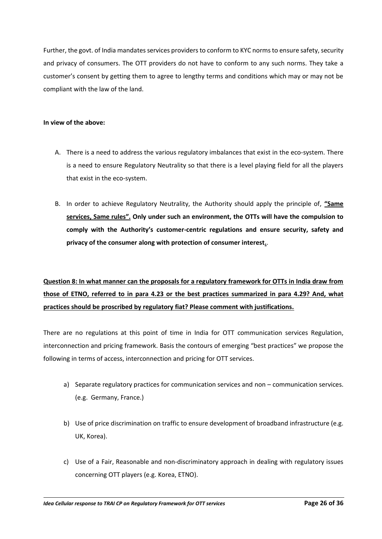Further, the govt. of India mandates services providers to conform to KYC norms to ensure safety, security and privacy of consumers. The OTT providers do not have to conform to any such norms. They take a customer's consent by getting them to agree to lengthy terms and conditions which may or may not be compliant with the law of the land.

### **In view of the above:**

- A. There is a need to address the various regulatory imbalances that exist in the eco-system. There is a need to ensure Regulatory Neutrality so that there is a level playing field for all the players that exist in the eco-system.
- B. In order to achieve Regulatory Neutrality, the Authority should apply the principle of, **"Same services, Same rules". Only under such an environment, the OTTs will have the compulsion to comply with the Authority's customer-centric regulations and ensure security, safety and privacy of the consumer along with protection of consumer interest.**.

# **Question 8: In what manner can the proposals for a regulatory framework for OTTs in India draw from those of ETNO, referred to in para 4.23 or the best practices summarized in para 4.29? And, what practices should be proscribed by regulatory fiat? Please comment with justifications.**

There are no regulations at this point of time in India for OTT communication services Regulation, interconnection and pricing framework. Basis the contours of emerging "best practices" we propose the following in terms of access, interconnection and pricing for OTT services.

- a) Separate regulatory practices for communication services and non communication services. (e.g. Germany, France.)
- b) Use of price discrimination on traffic to ensure development of broadband infrastructure (e.g. UK, Korea).
- c) Use of a Fair, Reasonable and non-discriminatory approach in dealing with regulatory issues concerning OTT players (e.g. Korea, ETNO).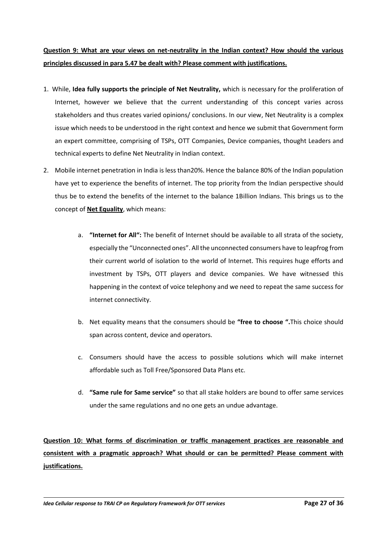# **Question 9: What are your views on net-neutrality in the Indian context? How should the various principles discussed in para 5.47 be dealt with? Please comment with justifications.**

- 1. While, **Idea fully supports the principle of Net Neutrality,** which is necessary for the proliferation of Internet, however we believe that the current understanding of this concept varies across stakeholders and thus creates varied opinions/ conclusions. In our view, Net Neutrality is a complex issue which needs to be understood in the right context and hence we submit that Government form an expert committee, comprising of TSPs, OTT Companies, Device companies, thought Leaders and technical experts to define Net Neutrality in Indian context.
- 2. Mobile internet penetration in India is less than20%. Hence the balance 80% of the Indian population have yet to experience the benefits of internet. The top priority from the Indian perspective should thus be to extend the benefits of the internet to the balance 1Billion Indians. This brings us to the concept of **Net Equality**, which means:
	- a. **"Internet for All":** The benefit of Internet should be available to all strata of the society, especially the "Unconnected ones". All the unconnected consumers have to leapfrog from their current world of isolation to the world of Internet. This requires huge efforts and investment by TSPs, OTT players and device companies. We have witnessed this happening in the context of voice telephony and we need to repeat the same success for internet connectivity.
	- b. Net equality means that the consumers should be **"free to choose ".**This choice should span across content, device and operators.
	- c. Consumers should have the access to possible solutions which will make internet affordable such as Toll Free/Sponsored Data Plans etc.
	- d. **"Same rule for Same service"** so that all stake holders are bound to offer same services under the same regulations and no one gets an undue advantage.

**Question 10: What forms of discrimination or traffic management practices are reasonable and consistent with a pragmatic approach? What should or can be permitted? Please comment with justifications.**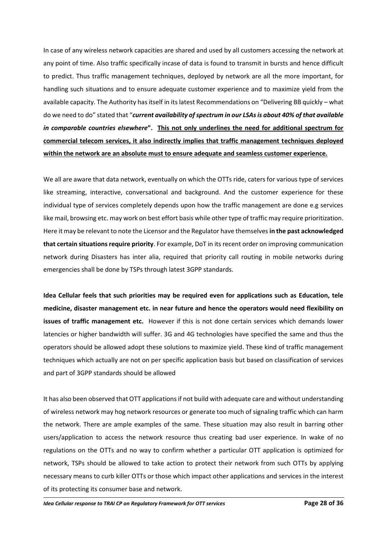In case of any wireless network capacities are shared and used by all customers accessing the network at any point of time. Also traffic specifically incase of data is found to transmit in bursts and hence difficult to predict. Thus traffic management techniques, deployed by network are all the more important, for handling such situations and to ensure adequate customer experience and to maximize yield from the available capacity. The Authority has itself in its latest Recommendations on "Delivering BB quickly – what do we need to do" stated that "*current availability of spectrum in our LSAs is about 40% of that available in comparable countries elsewhere***". This not only underlines the need for additional spectrum for commercial telecom services, it also indirectly implies that traffic management techniques deployed within the network are an absolute must to ensure adequate and seamless customer experience.**

We all are aware that data network, eventually on which the OTTs ride, caters for various type of services like streaming, interactive, conversational and background. And the customer experience for these individual type of services completely depends upon how the traffic management are done e.g services like mail, browsing etc. may work on best effort basis while other type of traffic may require prioritization. Here it may be relevant to note the Licensor and the Regulator have themselves**in the past acknowledged that certain situations require priority**. For example, DoT in its recent order on improving communication network during Disasters has inter alia, required that priority call routing in mobile networks during emergencies shall be done by TSPs through latest 3GPP standards.

**Idea Cellular feels that such priorities may be required even for applications such as Education, tele medicine, disaster management etc. in near future and hence the operators would need flexibility on issues of traffic management etc.** However if this is not done certain services which demands lower latencies or higher bandwidth will suffer. 3G and 4G technologies have specified the same and thus the operators should be allowed adopt these solutions to maximize yield. These kind of traffic management techniques which actually are not on per specific application basis but based on classification of services and part of 3GPP standards should be allowed

It has also been observed that OTT applications if not build with adequate care and without understanding of wireless network may hog network resources or generate too much of signaling traffic which can harm the network. There are ample examples of the same. These situation may also result in barring other users/application to access the network resource thus creating bad user experience. In wake of no regulations on the OTTs and no way to confirm whether a particular OTT application is optimized for network, TSPs should be allowed to take action to protect their network from such OTTs by applying necessary means to curb killer OTTs or those which impact other applications and services in the interest of its protecting its consumer base and network.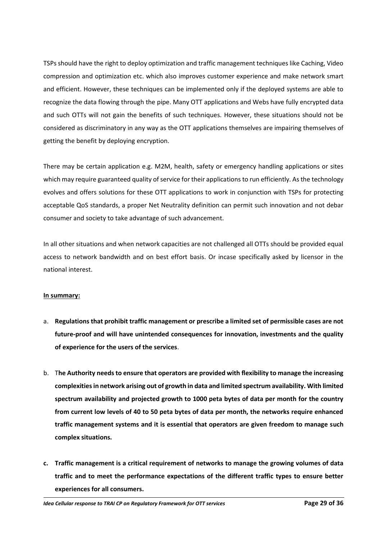TSPs should have the right to deploy optimization and traffic management techniques like Caching, Video compression and optimization etc. which also improves customer experience and make network smart and efficient. However, these techniques can be implemented only if the deployed systems are able to recognize the data flowing through the pipe. Many OTT applications and Webs have fully encrypted data and such OTTs will not gain the benefits of such techniques. However, these situations should not be considered as discriminatory in any way as the OTT applications themselves are impairing themselves of getting the benefit by deploying encryption.

There may be certain application e.g. M2M, health, safety or emergency handling applications or sites which may require guaranteed quality of service for their applications to run efficiently. As the technology evolves and offers solutions for these OTT applications to work in conjunction with TSPs for protecting acceptable QoS standards, a proper Net Neutrality definition can permit such innovation and not debar consumer and society to take advantage of such advancement.

In all other situations and when network capacities are not challenged all OTTs should be provided equal access to network bandwidth and on best effort basis. Or incase specifically asked by licensor in the national interest.

### **In summary:**

- a. **Regulations that prohibit traffic management or prescribe a limited set of permissible cases are not future-proof and will have unintended consequences for innovation, investments and the quality of experience for the users of the services**.
- b. T**he Authority needs to ensure that operators are provided with flexibility to manage the increasing complexities in network arising out of growth in data and limited spectrum availability. With limited spectrum availability and projected growth to 1000 peta bytes of data per month for the country from current low levels of 40 to 50 peta bytes of data per month, the networks require enhanced traffic management systems and it is essential that operators are given freedom to manage such complex situations.**
- **c. Traffic management is a critical requirement of networks to manage the growing volumes of data traffic and to meet the performance expectations of the different traffic types to ensure better experiences for all consumers.**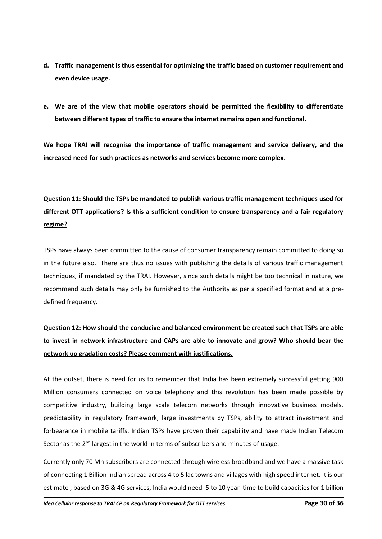- **d. Traffic management is thus essential for optimizing the traffic based on customer requirement and even device usage.**
- **e. We are of the view that mobile operators should be permitted the flexibility to differentiate between different types of traffic to ensure the internet remains open and functional.**

**We hope TRAI will recognise the importance of traffic management and service delivery, and the increased need for such practices as networks and services become more complex**.

# **Question 11: Should the TSPs be mandated to publish various traffic management techniques used for different OTT applications? Is this a sufficient condition to ensure transparency and a fair regulatory regime?**

TSPs have always been committed to the cause of consumer transparency remain committed to doing so in the future also. There are thus no issues with publishing the details of various traffic management techniques, if mandated by the TRAI. However, since such details might be too technical in nature, we recommend such details may only be furnished to the Authority as per a specified format and at a predefined frequency.

# **Question 12: How should the conducive and balanced environment be created such that TSPs are able to invest in network infrastructure and CAPs are able to innovate and grow? Who should bear the network up gradation costs? Please comment with justifications.**

At the outset, there is need for us to remember that India has been extremely successful getting 900 Million consumers connected on voice telephony and this revolution has been made possible by competitive industry, building large scale telecom networks through innovative business models, predictability in regulatory framework, large investments by TSPs, ability to attract investment and forbearance in mobile tariffs. Indian TSPs have proven their capability and have made Indian Telecom Sector as the  $2<sup>nd</sup>$  largest in the world in terms of subscribers and minutes of usage.

Currently only 70 Mn subscribers are connected through wireless broadband and we have a massive task of connecting 1 Billion Indian spread across 4 to 5 lac towns and villages with high speed internet. It is our estimate , based on 3G & 4G services, India would need 5 to 10 year time to build capacities for 1 billion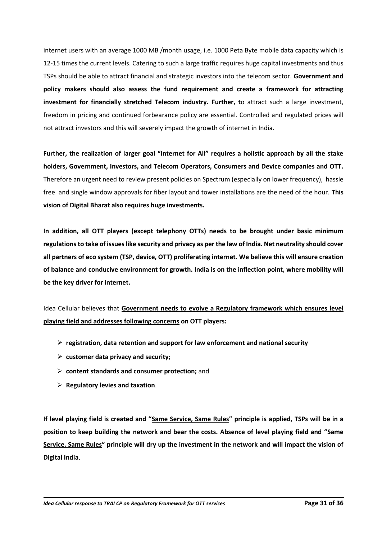internet users with an average 1000 MB /month usage, i.e. 1000 Peta Byte mobile data capacity which is 12-15 times the current levels. Catering to such a large traffic requires huge capital investments and thus TSPs should be able to attract financial and strategic investors into the telecom sector. **Government and policy makers should also assess the fund requirement and create a framework for attracting investment for financially stretched Telecom industry. Further, t**o attract such a large investment, freedom in pricing and continued forbearance policy are essential. Controlled and regulated prices will not attract investors and this will severely impact the growth of internet in India.

**Further, the realization of larger goal "Internet for All" requires a holistic approach by all the stake holders, Government, Investors, and Telecom Operators, Consumers and Device companies and OTT.**  Therefore an urgent need to review present policies on Spectrum (especially on lower frequency), hassle free and single window approvals for fiber layout and tower installations are the need of the hour. **This vision of Digital Bharat also requires huge investments.** 

**In addition, all OTT players (except telephony OTTs) needs to be brought under basic minimum regulations to take of issues like security and privacy as per the law of India. Net neutrality should cover all partners of eco system (TSP, device, OTT) proliferating internet. We believe this will ensure creation of balance and conducive environment for growth. India is on the inflection point, where mobility will be the key driver for internet.**

Idea Cellular believes that **Government needs to evolve a Regulatory framework which ensures level playing field and addresses following concerns on OTT players:** 

- **registration, data retention and support for law enforcement and national security**
- **customer data privacy and security;**
- **content standards and consumer protection;** and
- **Regulatory levies and taxation**.

**If level playing field is created and "Same Service, Same Rules" principle is applied, TSPs will be in a position to keep building the network and bear the costs. Absence of level playing field and "Same Service, Same Rules" principle will dry up the investment in the network and will impact the vision of Digital India**.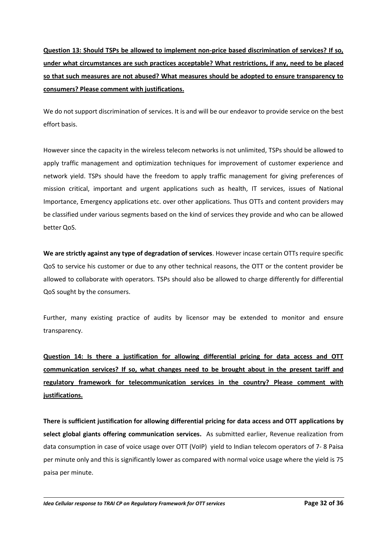**Question 13: Should TSPs be allowed to implement non-price based discrimination of services? If so, under what circumstances are such practices acceptable? What restrictions, if any, need to be placed so that such measures are not abused? What measures should be adopted to ensure transparency to consumers? Please comment with justifications.**

We do not support discrimination of services. It is and will be our endeavor to provide service on the best effort basis.

However since the capacity in the wireless telecom networks is not unlimited, TSPs should be allowed to apply traffic management and optimization techniques for improvement of customer experience and network yield. TSPs should have the freedom to apply traffic management for giving preferences of mission critical, important and urgent applications such as health, IT services, issues of National Importance, Emergency applications etc. over other applications. Thus OTTs and content providers may be classified under various segments based on the kind of services they provide and who can be allowed better QoS.

**We are strictly against any type of degradation of services**. However incase certain OTTs require specific QoS to service his customer or due to any other technical reasons, the OTT or the content provider be allowed to collaborate with operators. TSPs should also be allowed to charge differently for differential QoS sought by the consumers.

Further, many existing practice of audits by licensor may be extended to monitor and ensure transparency.

**Question 14: Is there a justification for allowing differential pricing for data access and OTT communication services? If so, what changes need to be brought about in the present tariff and regulatory framework for telecommunication services in the country? Please comment with justifications.**

**There is sufficient justification for allowing differential pricing for data access and OTT applications by select global giants offering communication services.** As submitted earlier, Revenue realization from data consumption in case of voice usage over OTT (VoIP) yield to Indian telecom operators of 7- 8 Paisa per minute only and this is significantly lower as compared with normal voice usage where the yield is 75 paisa per minute.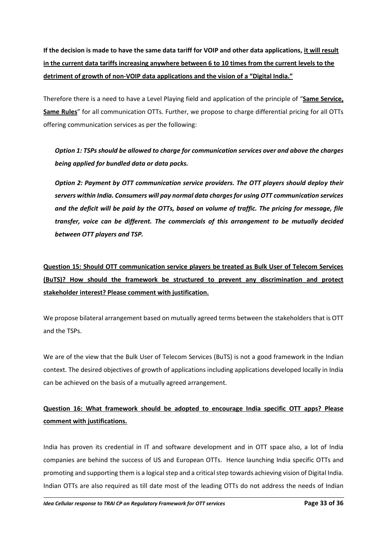**If the decision is made to have the same data tariff for VOIP and other data applications, it will result in the current data tariffs increasing anywhere between 6 to 10 times from the current levels to the detriment of growth of non-VOIP data applications and the vision of a "Digital India."**

Therefore there is a need to have a Level Playing field and application of the principle of "**Same Service, Same Rules**" for all communication OTTs. Further, we propose to charge differential pricing for all OTTs offering communication services as per the following:

*Option 1: TSPs should be allowed to charge for communication services over and above the charges being applied for bundled data or data packs.*

*Option 2: Payment by OTT communication service providers. The OTT players should deploy their servers within India. Consumers will pay normal data charges for using OTT communication services and the deficit will be paid by the OTTs, based on volume of traffic. The pricing for message, file transfer, voice can be different. The commercials of this arrangement to be mutually decided between OTT players and TSP.*

**Question 15: Should OTT communication service players be treated as Bulk User of Telecom Services (BuTS)? How should the framework be structured to prevent any discrimination and protect stakeholder interest? Please comment with justification.**

We propose bilateral arrangement based on mutually agreed terms between the stakeholders that is OTT and the TSPs.

We are of the view that the Bulk User of Telecom Services (BuTS) is not a good framework in the Indian context. The desired objectives of growth of applications including applications developed locally in India can be achieved on the basis of a mutually agreed arrangement.

# **Question 16: What framework should be adopted to encourage India specific OTT apps? Please comment with justifications.**

India has proven its credential in IT and software development and in OTT space also, a lot of India companies are behind the success of US and European OTTs. Hence launching India specific OTTs and promoting and supporting them is a logical step and a criticalstep towards achieving vision of Digital India. Indian OTTs are also required as till date most of the leading OTTs do not address the needs of Indian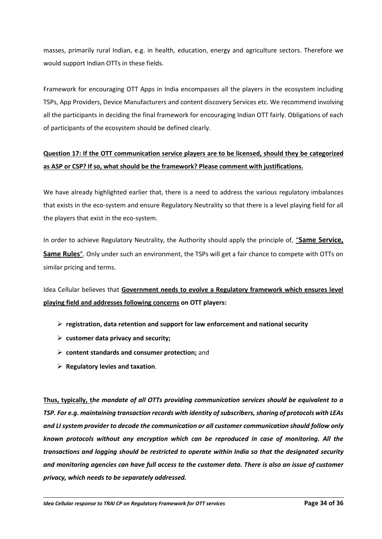masses, primarily rural Indian, e.g. in health, education, energy and agriculture sectors. Therefore we would support Indian OTTs in these fields.

Framework for encouraging OTT Apps in India encompasses all the players in the ecosystem including TSPs, App Providers, Device Manufacturers and content discovery Services etc. We recommend involving all the participants in deciding the final framework for encouraging Indian OTT fairly. Obligations of each of participants of the ecosystem should be defined clearly.

# **Question 17: If the OTT communication service players are to be licensed, should they be categorized as ASP or CSP? If so, what should be the framework? Please comment with justifications.**

We have already highlighted earlier that, there is a need to address the various regulatory imbalances that exists in the eco-system and ensure Regulatory Neutrality so that there is a level playing field for all the players that exist in the eco-system.

In order to achieve Regulatory Neutrality, the Authority should apply the principle of, "**Same Service, Same Rules**". Only under such an environment, the TSPs will get a fair chance to compete with OTTs on similar pricing and terms.

Idea Cellular believes that **Government needs to evolve a Regulatory framework which ensures level playing field and addresses following concerns on OTT players:** 

- **registration, data retention and support for law enforcement and national security**
- **customer data privacy and security;**
- **content standards and consumer protection;** and
- **Regulatory levies and taxation**.

**Thus, typically, t***he mandate of all OTTs providing communication services should be equivalent to a TSP. For e.g. maintaining transaction records with identity of subscribers, sharing of protocols with LEAs and LI system provider to decode the communication or all customer communication should follow only known protocols without any encryption which can be reproduced in case of monitoring. All the transactions and logging should be restricted to operate within India so that the designated security and monitoring agencies can have full access to the customer data. There is also an issue of customer privacy, which needs to be separately addressed.*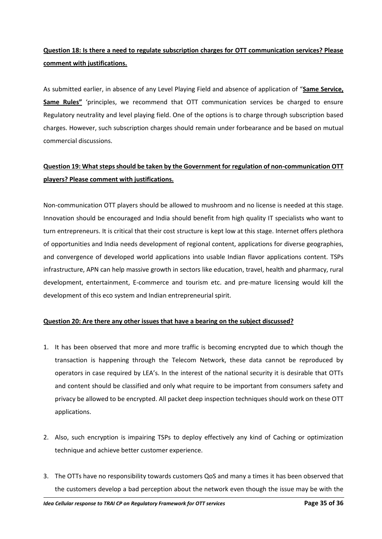# **Question 18: Is there a need to regulate subscription charges for OTT communication services? Please comment with justifications.**

As submitted earlier, in absence of any Level Playing Field and absence of application of "**Same Service, Same Rules"** 'principles, we recommend that OTT communication services be charged to ensure Regulatory neutrality and level playing field. One of the options is to charge through subscription based charges. However, such subscription charges should remain under forbearance and be based on mutual commercial discussions.

# **Question 19: What steps should be taken by the Government for regulation of non-communication OTT players? Please comment with justifications.**

Non-communication OTT players should be allowed to mushroom and no license is needed at this stage. Innovation should be encouraged and India should benefit from high quality IT specialists who want to turn entrepreneurs. It is critical that their cost structure is kept low at this stage. Internet offers plethora of opportunities and India needs development of regional content, applications for diverse geographies, and convergence of developed world applications into usable Indian flavor applications content. TSPs infrastructure, APN can help massive growth in sectors like education, travel, health and pharmacy, rural development, entertainment, E-commerce and tourism etc. and pre-mature licensing would kill the development of this eco system and Indian entrepreneurial spirit.

## **Question 20: Are there any other issues that have a bearing on the subject discussed?**

- 1. It has been observed that more and more traffic is becoming encrypted due to which though the transaction is happening through the Telecom Network, these data cannot be reproduced by operators in case required by LEA's. In the interest of the national security it is desirable that OTTs and content should be classified and only what require to be important from consumers safety and privacy be allowed to be encrypted. All packet deep inspection techniques should work on these OTT applications.
- 2. Also, such encryption is impairing TSPs to deploy effectively any kind of Caching or optimization technique and achieve better customer experience.
- 3. The OTTs have no responsibility towards customers QoS and many a times it has been observed that the customers develop a bad perception about the network even though the issue may be with the